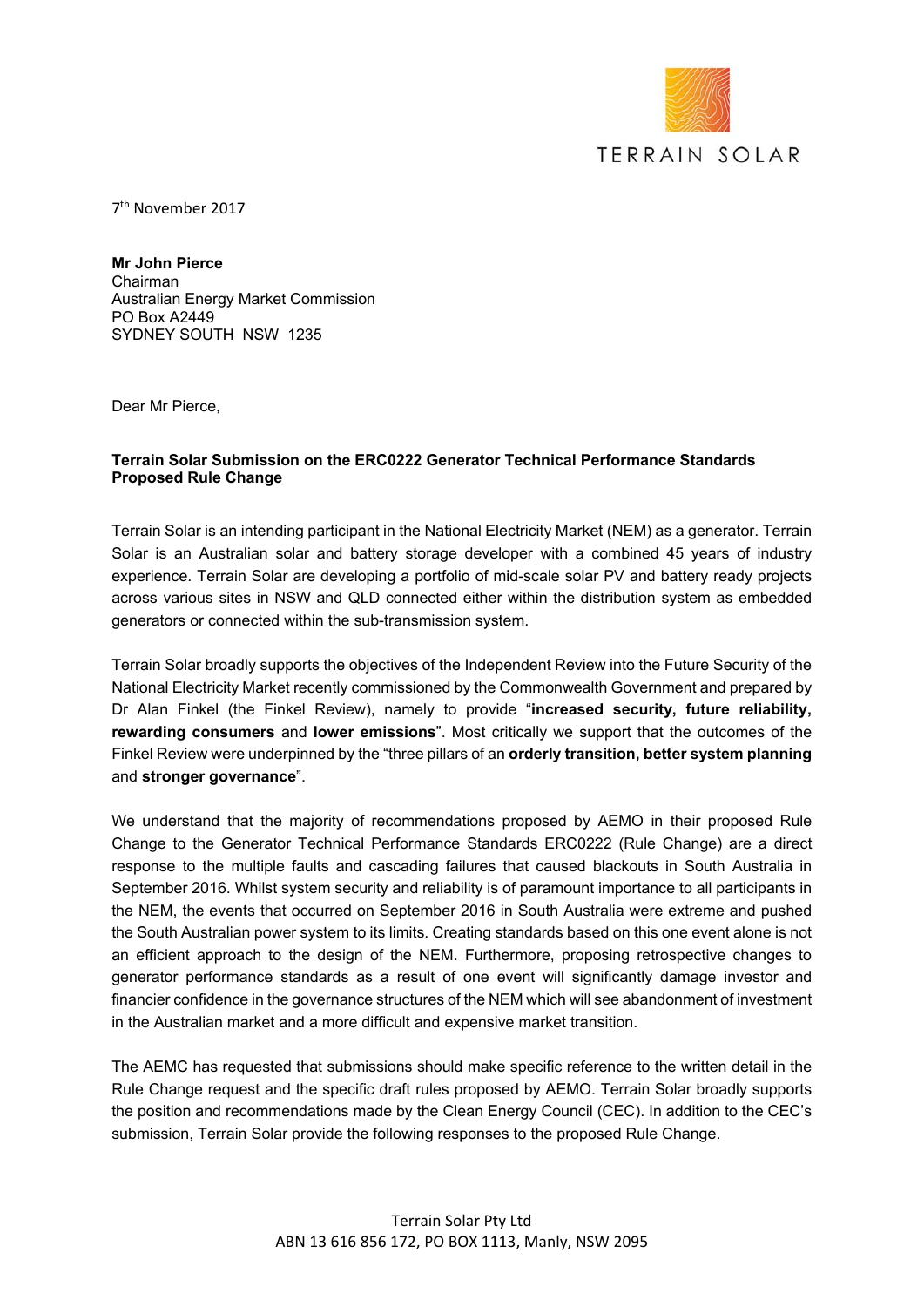

7th November 2017

**Mr John Pierce**  Chairman Australian Energy Market Commission PO Box A2449 SYDNEY SOUTH NSW 1235

Dear Mr Pierce,

### **Terrain Solar Submission on the ERC0222 Generator Technical Performance Standards Proposed Rule Change**

Terrain Solar is an intending participant in the National Electricity Market (NEM) as a generator. Terrain Solar is an Australian solar and battery storage developer with a combined 45 years of industry experience. Terrain Solar are developing a portfolio of mid-scale solar PV and battery ready projects across various sites in NSW and QLD connected either within the distribution system as embedded generators or connected within the sub-transmission system.

Terrain Solar broadly supports the objectives of the Independent Review into the Future Security of the National Electricity Market recently commissioned by the Commonwealth Government and prepared by Dr Alan Finkel (the Finkel Review), namely to provide "**increased security, future reliability, rewarding consumers** and **lower emissions**". Most critically we support that the outcomes of the Finkel Review were underpinned by the "three pillars of an **orderly transition, better system planning** and **stronger governance**".

We understand that the majority of recommendations proposed by AEMO in their proposed Rule Change to the Generator Technical Performance Standards ERC0222 (Rule Change) are a direct response to the multiple faults and cascading failures that caused blackouts in South Australia in September 2016. Whilst system security and reliability is of paramount importance to all participants in the NEM, the events that occurred on September 2016 in South Australia were extreme and pushed the South Australian power system to its limits. Creating standards based on this one event alone is not an efficient approach to the design of the NEM. Furthermore, proposing retrospective changes to generator performance standards as a result of one event will significantly damage investor and financier confidence in the governance structures of the NEM which will see abandonment of investment in the Australian market and a more difficult and expensive market transition.

The AEMC has requested that submissions should make specific reference to the written detail in the Rule Change request and the specific draft rules proposed by AEMO. Terrain Solar broadly supports the position and recommendations made by the Clean Energy Council (CEC). In addition to the CEC's submission, Terrain Solar provide the following responses to the proposed Rule Change.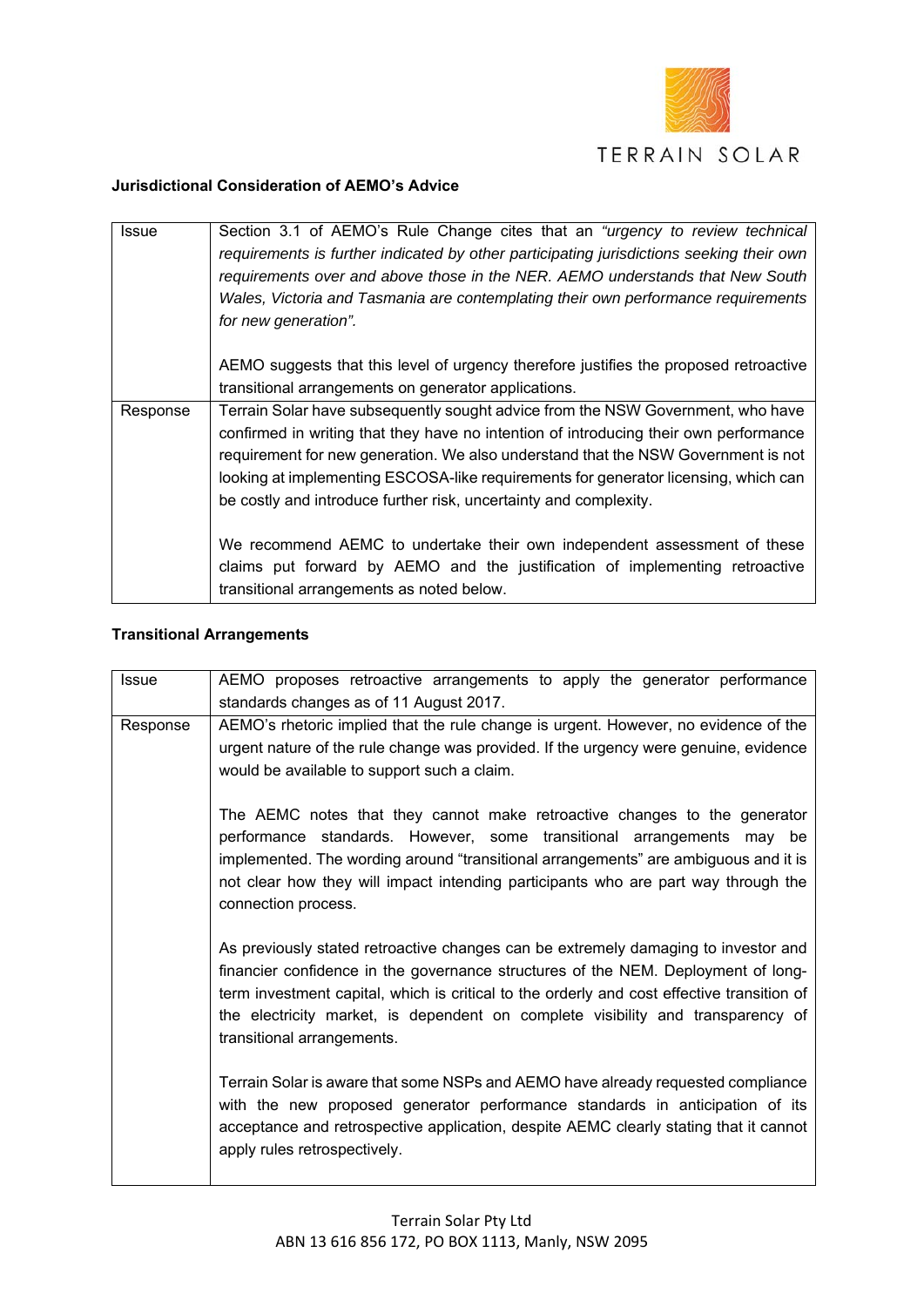

### **Jurisdictional Consideration of AEMO's Advice**

| <b>Issue</b> | Section 3.1 of AEMO's Rule Change cites that an "urgency to review technical<br>requirements is further indicated by other participating jurisdictions seeking their own<br>requirements over and above those in the NER. AEMO understands that New South<br>Wales, Victoria and Tasmania are contemplating their own performance requirements<br>for new generation".                                                    |
|--------------|---------------------------------------------------------------------------------------------------------------------------------------------------------------------------------------------------------------------------------------------------------------------------------------------------------------------------------------------------------------------------------------------------------------------------|
|              | AEMO suggests that this level of urgency therefore justifies the proposed retroactive<br>transitional arrangements on generator applications.                                                                                                                                                                                                                                                                             |
| Response     | Terrain Solar have subsequently sought advice from the NSW Government, who have<br>confirmed in writing that they have no intention of introducing their own performance<br>requirement for new generation. We also understand that the NSW Government is not<br>looking at implementing ESCOSA-like requirements for generator licensing, which can<br>be costly and introduce further risk, uncertainty and complexity. |
|              | We recommend AEMC to undertake their own independent assessment of these<br>claims put forward by AEMO and the justification of implementing retroactive<br>transitional arrangements as noted below.                                                                                                                                                                                                                     |

# **Transitional Arrangements**

| <b>Issue</b> | AEMO proposes retroactive arrangements to apply the generator performance<br>standards changes as of 11 August 2017.                                                          |
|--------------|-------------------------------------------------------------------------------------------------------------------------------------------------------------------------------|
| Response     | AEMO's rhetoric implied that the rule change is urgent. However, no evidence of the                                                                                           |
|              | urgent nature of the rule change was provided. If the urgency were genuine, evidence                                                                                          |
|              | would be available to support such a claim.                                                                                                                                   |
|              |                                                                                                                                                                               |
|              | The AEMC notes that they cannot make retroactive changes to the generator                                                                                                     |
|              | performance standards. However, some transitional arrangements may be                                                                                                         |
|              | implemented. The wording around "transitional arrangements" are ambiguous and it is                                                                                           |
|              | not clear how they will impact intending participants who are part way through the                                                                                            |
|              | connection process.                                                                                                                                                           |
|              | As previously stated retroactive changes can be extremely damaging to investor and                                                                                            |
|              | financier confidence in the governance structures of the NEM. Deployment of long-                                                                                             |
|              | term investment capital, which is critical to the orderly and cost effective transition of<br>the electricity market, is dependent on complete visibility and transparency of |
|              | transitional arrangements.                                                                                                                                                    |
|              |                                                                                                                                                                               |
|              | Terrain Solar is aware that some NSPs and AEMO have already requested compliance                                                                                              |
|              | with the new proposed generator performance standards in anticipation of its                                                                                                  |
|              | acceptance and retrospective application, despite AEMC clearly stating that it cannot                                                                                         |
|              | apply rules retrospectively.                                                                                                                                                  |
|              |                                                                                                                                                                               |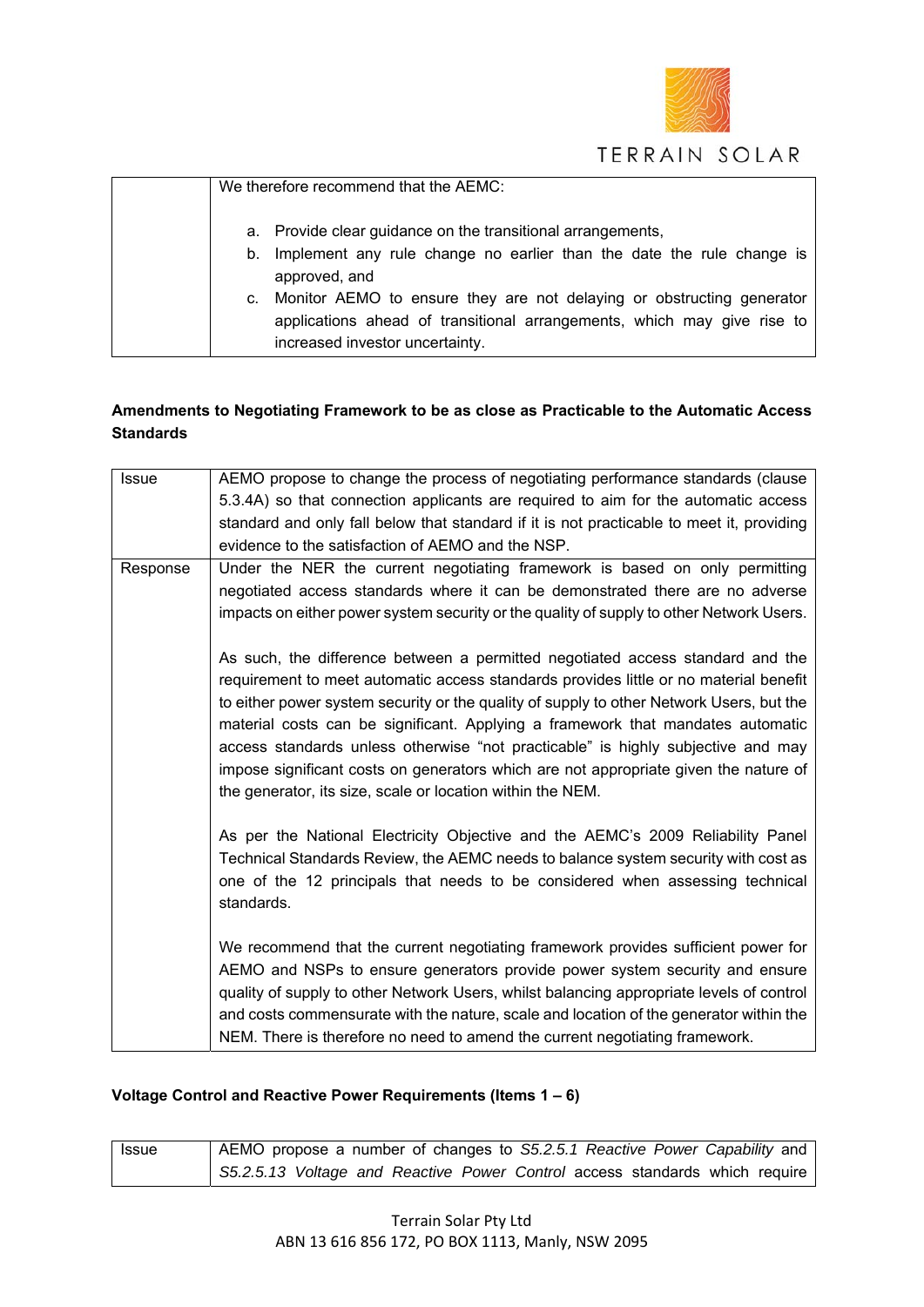

| We therefore recommend that the AEMC:                                                                                                                                                  |
|----------------------------------------------------------------------------------------------------------------------------------------------------------------------------------------|
| a. Provide clear guidance on the transitional arrangements,                                                                                                                            |
| b. Implement any rule change no earlier than the date the rule change is<br>approved, and                                                                                              |
| c. Monitor AEMO to ensure they are not delaying or obstructing generator<br>applications ahead of transitional arrangements, which may give rise to<br>increased investor uncertainty. |

# **Amendments to Negotiating Framework to be as close as Practicable to the Automatic Access Standards**

| <b>Issue</b> | AEMO propose to change the process of negotiating performance standards (clause<br>5.3.4A) so that connection applicants are required to aim for the automatic access<br>standard and only fall below that standard if it is not practicable to meet it, providing<br>evidence to the satisfaction of AEMO and the NSP.                                                                                                                                                                                                                                                                          |
|--------------|--------------------------------------------------------------------------------------------------------------------------------------------------------------------------------------------------------------------------------------------------------------------------------------------------------------------------------------------------------------------------------------------------------------------------------------------------------------------------------------------------------------------------------------------------------------------------------------------------|
| Response     | Under the NER the current negotiating framework is based on only permitting<br>negotiated access standards where it can be demonstrated there are no adverse<br>impacts on either power system security or the quality of supply to other Network Users.                                                                                                                                                                                                                                                                                                                                         |
|              | As such, the difference between a permitted negotiated access standard and the<br>requirement to meet automatic access standards provides little or no material benefit<br>to either power system security or the quality of supply to other Network Users, but the<br>material costs can be significant. Applying a framework that mandates automatic<br>access standards unless otherwise "not practicable" is highly subjective and may<br>impose significant costs on generators which are not appropriate given the nature of<br>the generator, its size, scale or location within the NEM. |
|              | As per the National Electricity Objective and the AEMC's 2009 Reliability Panel<br>Technical Standards Review, the AEMC needs to balance system security with cost as<br>one of the 12 principals that needs to be considered when assessing technical<br>standards.                                                                                                                                                                                                                                                                                                                             |
|              | We recommend that the current negotiating framework provides sufficient power for<br>AEMO and NSPs to ensure generators provide power system security and ensure<br>quality of supply to other Network Users, whilst balancing appropriate levels of control<br>and costs commensurate with the nature, scale and location of the generator within the<br>NEM. There is therefore no need to amend the current negotiating framework.                                                                                                                                                            |

# **Voltage Control and Reactive Power Requirements (Items 1 – 6)**

| <b>Issue</b> | AEMO propose a number of changes to S5.2.5.1 Reactive Power Capability and  |
|--------------|-----------------------------------------------------------------------------|
|              | S5.2.5.13 Voltage and Reactive Power Control access standards which require |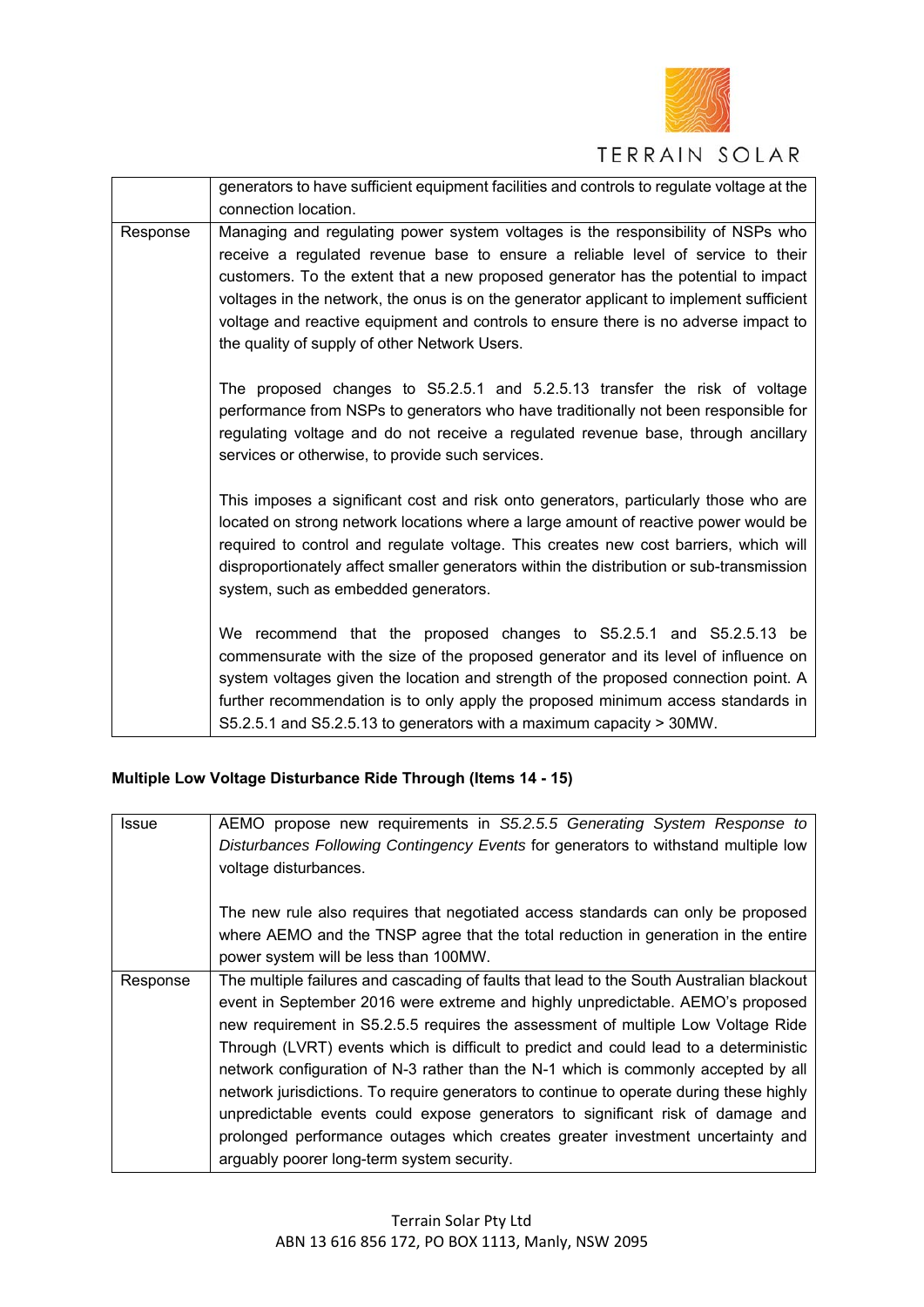

# TERRAIN SOLAR

|          | generators to have sufficient equipment facilities and controls to regulate voltage at the                                                                                                                                                                                                                                                                                                                                                                                                  |
|----------|---------------------------------------------------------------------------------------------------------------------------------------------------------------------------------------------------------------------------------------------------------------------------------------------------------------------------------------------------------------------------------------------------------------------------------------------------------------------------------------------|
|          | connection location.                                                                                                                                                                                                                                                                                                                                                                                                                                                                        |
| Response | Managing and regulating power system voltages is the responsibility of NSPs who<br>receive a regulated revenue base to ensure a reliable level of service to their<br>customers. To the extent that a new proposed generator has the potential to impact<br>voltages in the network, the onus is on the generator applicant to implement sufficient<br>voltage and reactive equipment and controls to ensure there is no adverse impact to<br>the quality of supply of other Network Users. |
|          | The proposed changes to S5.2.5.1 and 5.2.5.13 transfer the risk of voltage<br>performance from NSPs to generators who have traditionally not been responsible for<br>regulating voltage and do not receive a regulated revenue base, through ancillary<br>services or otherwise, to provide such services.                                                                                                                                                                                  |
|          | This imposes a significant cost and risk onto generators, particularly those who are<br>located on strong network locations where a large amount of reactive power would be<br>required to control and regulate voltage. This creates new cost barriers, which will<br>disproportionately affect smaller generators within the distribution or sub-transmission<br>system, such as embedded generators.                                                                                     |
|          | We recommend that the proposed changes to S5.2.5.1 and S5.2.5.13 be<br>commensurate with the size of the proposed generator and its level of influence on<br>system voltages given the location and strength of the proposed connection point. A<br>further recommendation is to only apply the proposed minimum access standards in<br>S5.2.5.1 and S5.2.5.13 to generators with a maximum capacity > 30MW.                                                                                |

# **Multiple Low Voltage Disturbance Ride Through (Items 14 - 15)**

| Issue    | AEMO propose new requirements in S5.2.5.5 Generating System Response to                  |
|----------|------------------------------------------------------------------------------------------|
|          | Disturbances Following Contingency Events for generators to withstand multiple low       |
|          | voltage disturbances.                                                                    |
|          |                                                                                          |
|          | The new rule also requires that negotiated access standards can only be proposed         |
|          | where AEMO and the TNSP agree that the total reduction in generation in the entire       |
|          | power system will be less than 100MW.                                                    |
| Response | The multiple failures and cascading of faults that lead to the South Australian blackout |
|          | event in September 2016 were extreme and highly unpredictable. AEMO's proposed           |
|          | new requirement in S5.2.5.5 requires the assessment of multiple Low Voltage Ride         |
|          | Through (LVRT) events which is difficult to predict and could lead to a deterministic    |
|          | network configuration of N-3 rather than the N-1 which is commonly accepted by all       |
|          | network jurisdictions. To require generators to continue to operate during these highly  |
|          | unpredictable events could expose generators to significant risk of damage and           |
|          | prolonged performance outages which creates greater investment uncertainty and           |
|          | arguably poorer long-term system security.                                               |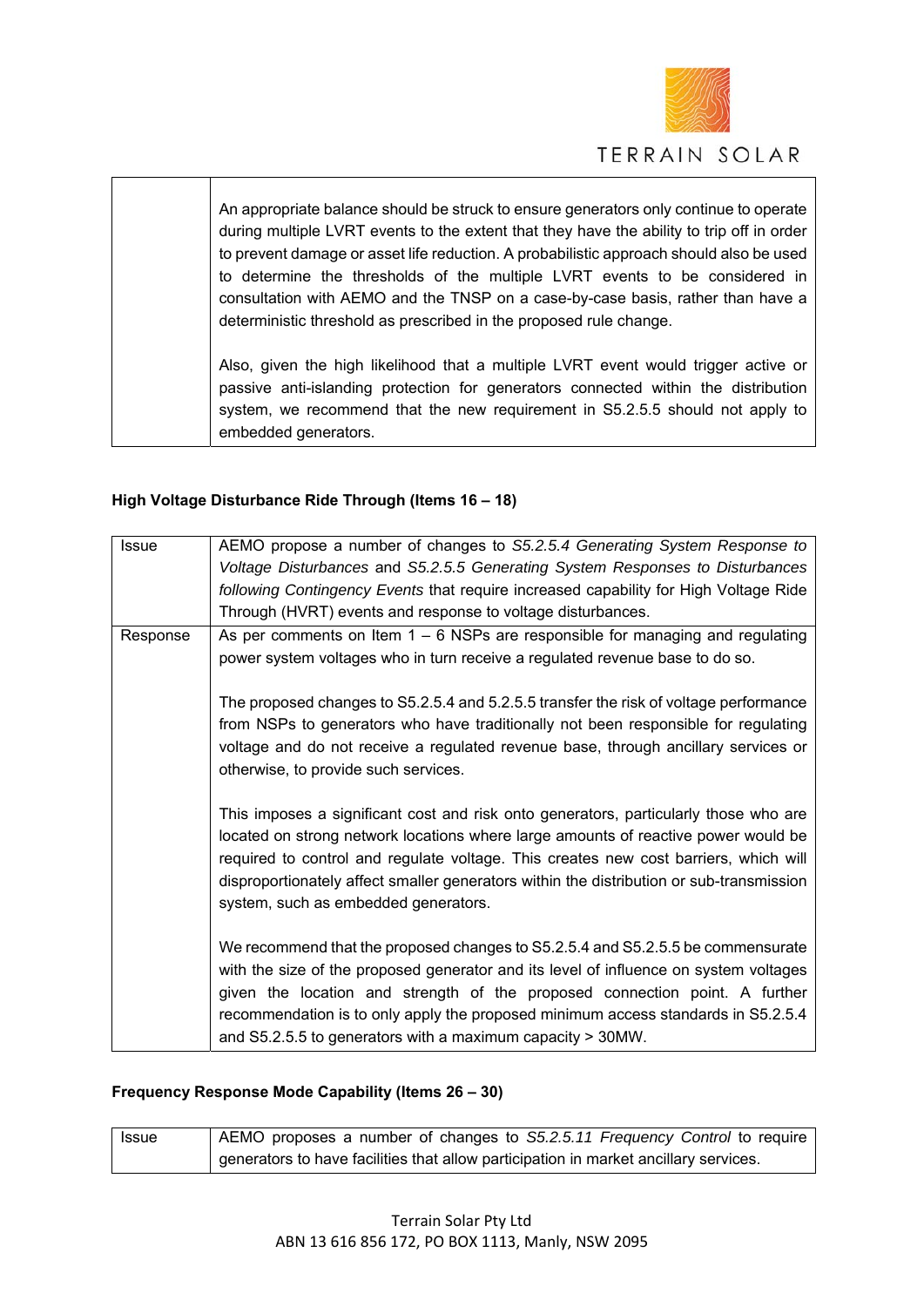

An appropriate balance should be struck to ensure generators only continue to operate during multiple LVRT events to the extent that they have the ability to trip off in order to prevent damage or asset life reduction. A probabilistic approach should also be used to determine the thresholds of the multiple LVRT events to be considered in consultation with AEMO and the TNSP on a case-by-case basis, rather than have a deterministic threshold as prescribed in the proposed rule change.

Also, given the high likelihood that a multiple LVRT event would trigger active or passive anti-islanding protection for generators connected within the distribution system, we recommend that the new requirement in S5.2.5.5 should not apply to embedded generators.

### **High Voltage Disturbance Ride Through (Items 16 – 18)**

| <b>Issue</b> | AEMO propose a number of changes to S5.2.5.4 Generating System Response to                                                                                                                                                                                                                                                                                                                                 |
|--------------|------------------------------------------------------------------------------------------------------------------------------------------------------------------------------------------------------------------------------------------------------------------------------------------------------------------------------------------------------------------------------------------------------------|
|              | Voltage Disturbances and S5.2.5.5 Generating System Responses to Disturbances                                                                                                                                                                                                                                                                                                                              |
|              | following Contingency Events that require increased capability for High Voltage Ride                                                                                                                                                                                                                                                                                                                       |
|              | Through (HVRT) events and response to voltage disturbances.                                                                                                                                                                                                                                                                                                                                                |
| Response     | As per comments on Item $1 - 6$ NSPs are responsible for managing and regulating                                                                                                                                                                                                                                                                                                                           |
|              | power system voltages who in turn receive a regulated revenue base to do so.                                                                                                                                                                                                                                                                                                                               |
|              | The proposed changes to S5.2.5.4 and 5.2.5.5 transfer the risk of voltage performance<br>from NSPs to generators who have traditionally not been responsible for regulating<br>voltage and do not receive a regulated revenue base, through ancillary services or<br>otherwise, to provide such services.                                                                                                  |
|              | This imposes a significant cost and risk onto generators, particularly those who are<br>located on strong network locations where large amounts of reactive power would be<br>required to control and regulate voltage. This creates new cost barriers, which will<br>disproportionately affect smaller generators within the distribution or sub-transmission<br>system, such as embedded generators.     |
|              | We recommend that the proposed changes to S5.2.5.4 and S5.2.5.5 be commensurate<br>with the size of the proposed generator and its level of influence on system voltages<br>given the location and strength of the proposed connection point. A further<br>recommendation is to only apply the proposed minimum access standards in S5.2.5.4<br>and S5.2.5.5 to generators with a maximum capacity > 30MW. |

#### **Frequency Response Mode Capability (Items 26 – 30)**

| Issue | AEMO proposes a number of changes to S5.2.5.11 Frequency Control to require          |
|-------|--------------------------------------------------------------------------------------|
|       | generators to have facilities that allow participation in market ancillary services. |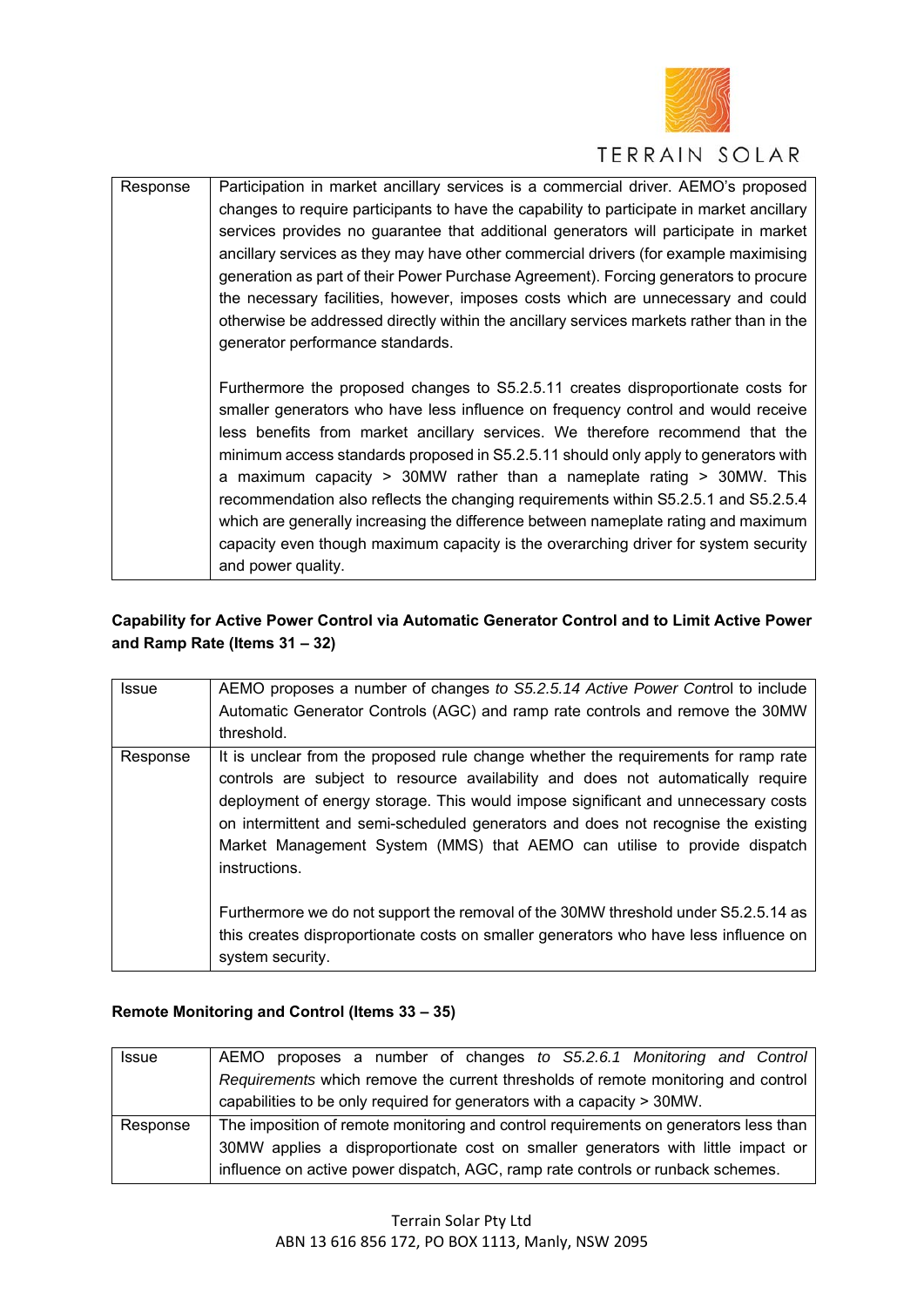

| Response | Participation in market ancillary services is a commercial driver. AEMO's proposed        |
|----------|-------------------------------------------------------------------------------------------|
|          | changes to require participants to have the capability to participate in market ancillary |
|          | services provides no guarantee that additional generators will participate in market      |
|          | ancillary services as they may have other commercial drivers (for example maximising      |
|          | generation as part of their Power Purchase Agreement). Forcing generators to procure      |
|          | the necessary facilities, however, imposes costs which are unnecessary and could          |
|          | otherwise be addressed directly within the ancillary services markets rather than in the  |
|          | generator performance standards.                                                          |
|          |                                                                                           |
|          | Furthermore the proposed changes to S5.2.5.11 creates disproportionate costs for          |
|          | smaller generators who have less influence on frequency control and would receive         |
|          | less benefits from market ancillary services. We therefore recommend that the             |
|          | minimum access standards proposed in S5.2.5.11 should only apply to generators with       |
|          | a maximum capacity > $30MW$ rather than a nameplate rating > $30MW$ . This                |
|          | recommendation also reflects the changing requirements within S5.2.5.1 and S5.2.5.4       |
|          | which are generally increasing the difference between nameplate rating and maximum        |
|          | capacity even though maximum capacity is the overarching driver for system security       |
|          | and power quality.                                                                        |

# **Capability for Active Power Control via Automatic Generator Control and to Limit Active Power and Ramp Rate (Items 31 – 32)**

| Issue    | AEMO proposes a number of changes to S5.2.5.14 Active Power Control to include<br>Automatic Generator Controls (AGC) and ramp rate controls and remove the 30MW<br>threshold.                                                                                                                                                                                                                                                                                                                                                                                                                                                                   |
|----------|-------------------------------------------------------------------------------------------------------------------------------------------------------------------------------------------------------------------------------------------------------------------------------------------------------------------------------------------------------------------------------------------------------------------------------------------------------------------------------------------------------------------------------------------------------------------------------------------------------------------------------------------------|
| Response | It is unclear from the proposed rule change whether the requirements for ramp rate<br>controls are subject to resource availability and does not automatically require<br>deployment of energy storage. This would impose significant and unnecessary costs<br>on intermittent and semi-scheduled generators and does not recognise the existing<br>Market Management System (MMS) that AEMO can utilise to provide dispatch<br>instructions.<br>Furthermore we do not support the removal of the 30MW threshold under S5.2.5.14 as<br>this creates disproportionate costs on smaller generators who have less influence on<br>system security. |

### **Remote Monitoring and Control (Items 33 – 35)**

| <b>Issue</b> | AEMO proposes a number of changes to S5.2.6.1 Monitoring and Control                 |
|--------------|--------------------------------------------------------------------------------------|
|              | Requirements which remove the current thresholds of remote monitoring and control    |
|              | capabilities to be only required for generators with a capacity > 30MW.              |
|              |                                                                                      |
| Response     | The imposition of remote monitoring and control requirements on generators less than |
|              | 30MW applies a disproportionate cost on smaller generators with little impact or     |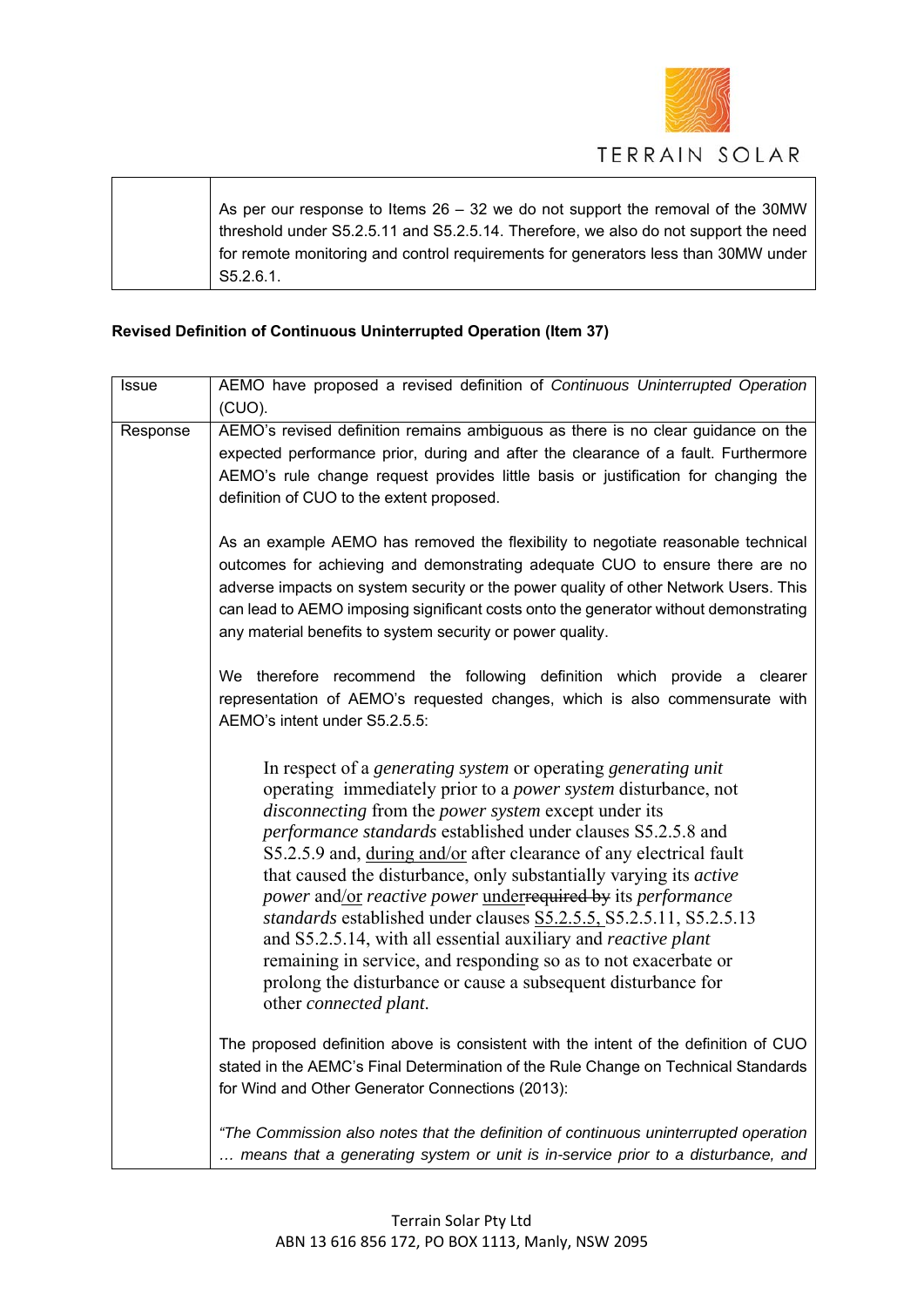

| As per our response to Items 26 – 32 we do not support the removal of the 30MW      |
|-------------------------------------------------------------------------------------|
| threshold under S5.2.5.11 and S5.2.5.14. Therefore, we also do not support the need |
| for remote monitoring and control requirements for generators less than 30MW under  |
| S5.2.6.1.                                                                           |

# **Revised Definition of Continuous Uninterrupted Operation (Item 37)**

 $\overline{\phantom{a}}$ 

Τ

| Issue    | AEMO have proposed a revised definition of Continuous Uninterrupted Operation                                                                                                                                                                                                                                                                                                                                                                                                                                                                                                                                                                                                                                                                                                                                                |
|----------|------------------------------------------------------------------------------------------------------------------------------------------------------------------------------------------------------------------------------------------------------------------------------------------------------------------------------------------------------------------------------------------------------------------------------------------------------------------------------------------------------------------------------------------------------------------------------------------------------------------------------------------------------------------------------------------------------------------------------------------------------------------------------------------------------------------------------|
|          | (CUO).                                                                                                                                                                                                                                                                                                                                                                                                                                                                                                                                                                                                                                                                                                                                                                                                                       |
| Response | AEMO's revised definition remains ambiguous as there is no clear guidance on the<br>expected performance prior, during and after the clearance of a fault. Furthermore<br>AEMO's rule change request provides little basis or justification for changing the<br>definition of CUO to the extent proposed.                                                                                                                                                                                                                                                                                                                                                                                                                                                                                                                    |
|          | As an example AEMO has removed the flexibility to negotiate reasonable technical<br>outcomes for achieving and demonstrating adequate CUO to ensure there are no<br>adverse impacts on system security or the power quality of other Network Users. This<br>can lead to AEMO imposing significant costs onto the generator without demonstrating<br>any material benefits to system security or power quality.                                                                                                                                                                                                                                                                                                                                                                                                               |
|          | We therefore recommend the following definition which provide a clearer<br>representation of AEMO's requested changes, which is also commensurate with<br>AEMO's intent under S5.2.5.5:                                                                                                                                                                                                                                                                                                                                                                                                                                                                                                                                                                                                                                      |
|          | In respect of a generating system or operating generating unit<br>operating immediately prior to a <i>power system</i> disturbance, not<br><i>disconnecting</i> from the <i>power</i> system except under its<br>performance standards established under clauses S5.2.5.8 and<br>S5.2.5.9 and, during and/or after clearance of any electrical fault<br>that caused the disturbance, only substantially varying its <i>active</i><br><i>power</i> and/or <i>reactive power</i> underrequired by its <i>performance</i><br>standards established under clauses S5.2.5.5, S5.2.5.11, S5.2.5.13<br>and S5.2.5.14, with all essential auxiliary and reactive plant<br>remaining in service, and responding so as to not exacerbate or<br>prolong the disturbance or cause a subsequent disturbance for<br>other connected plant. |
|          | The proposed definition above is consistent with the intent of the definition of CUO<br>stated in the AEMC's Final Determination of the Rule Change on Technical Standards<br>for Wind and Other Generator Connections (2013):                                                                                                                                                                                                                                                                                                                                                                                                                                                                                                                                                                                               |
|          | "The Commission also notes that the definition of continuous uninterrupted operation<br>means that a generating system or unit is in-service prior to a disturbance, and                                                                                                                                                                                                                                                                                                                                                                                                                                                                                                                                                                                                                                                     |